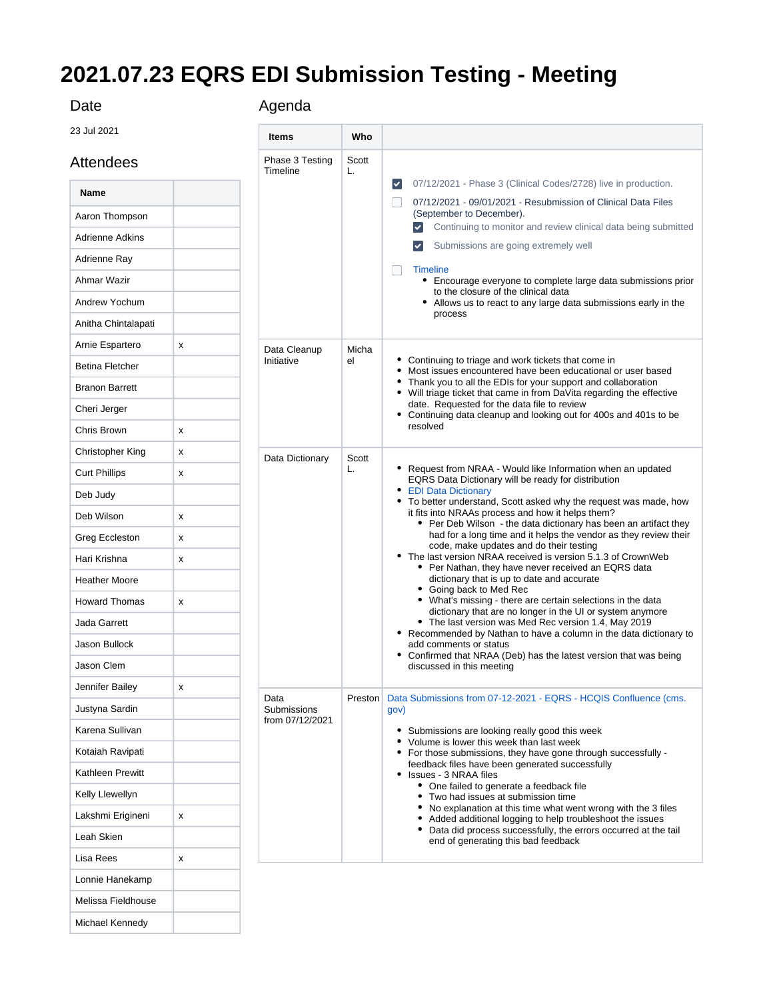## **2021.07.23 EQRS EDI Submission Testing - Meeting**

## Date

23 Jul 2021

Attendees

Melissa Fieldhouse Michael Kennedy

| Date                   |   | Agenda                      |             |                                                                                                                                                                                                                                                                                                                                                                                                     |  |  |  |  |
|------------------------|---|-----------------------------|-------------|-----------------------------------------------------------------------------------------------------------------------------------------------------------------------------------------------------------------------------------------------------------------------------------------------------------------------------------------------------------------------------------------------------|--|--|--|--|
| 23 Jul 2021            |   | <b>Items</b>                | Who         |                                                                                                                                                                                                                                                                                                                                                                                                     |  |  |  |  |
| Attendees              |   | Phase 3 Testing<br>Timeline | Scott<br>L. |                                                                                                                                                                                                                                                                                                                                                                                                     |  |  |  |  |
| Name                   |   |                             |             | 07/12/2021 - Phase 3 (Clinical Codes/2728) live in production.<br>$\blacktriangledown$                                                                                                                                                                                                                                                                                                              |  |  |  |  |
| Aaron Thompson         |   |                             |             | 07/12/2021 - 09/01/2021 - Resubmission of Clinical Data Files<br>(September to December).                                                                                                                                                                                                                                                                                                           |  |  |  |  |
| <b>Adrienne Adkins</b> |   |                             |             | Continuing to monitor and review clinical data being submitted                                                                                                                                                                                                                                                                                                                                      |  |  |  |  |
| Adrienne Ray           |   |                             |             | Submissions are going extremely well<br>$\blacktriangledown$                                                                                                                                                                                                                                                                                                                                        |  |  |  |  |
| Ahmar Wazir            |   |                             |             | <b>Timeline</b><br>• Encourage everyone to complete large data submissions prior                                                                                                                                                                                                                                                                                                                    |  |  |  |  |
| Andrew Yochum          |   |                             |             | to the closure of the clinical data<br>• Allows us to react to any large data submissions early in the                                                                                                                                                                                                                                                                                              |  |  |  |  |
| Anitha Chintalapati    |   |                             |             | process                                                                                                                                                                                                                                                                                                                                                                                             |  |  |  |  |
| Arnie Espartero        | x | Data Cleanup                | Micha       |                                                                                                                                                                                                                                                                                                                                                                                                     |  |  |  |  |
| <b>Betina Fletcher</b> |   | Initiative                  | el          | • Continuing to triage and work tickets that come in<br>• Most issues encountered have been educational or user based                                                                                                                                                                                                                                                                               |  |  |  |  |
| <b>Branon Barrett</b>  |   |                             |             | Thank you to all the EDIs for your support and collaboration<br>• Will triage ticket that came in from DaVita regarding the effective                                                                                                                                                                                                                                                               |  |  |  |  |
| Cheri Jerger           |   |                             |             | date. Requested for the data file to review<br>• Continuing data cleanup and looking out for 400s and 401s to be                                                                                                                                                                                                                                                                                    |  |  |  |  |
| Chris Brown            | х |                             |             | resolved                                                                                                                                                                                                                                                                                                                                                                                            |  |  |  |  |
| Christopher King       | х | Data Dictionary             |             | • Request from NRAA - Would like Information when an updated<br>EQRS Data Dictionary will be ready for distribution                                                                                                                                                                                                                                                                                 |  |  |  |  |
| <b>Curt Phillips</b>   | х |                             | Scott<br>L. |                                                                                                                                                                                                                                                                                                                                                                                                     |  |  |  |  |
| Deb Judy               |   |                             |             | • EDI Data Dictionary<br>• To better understand, Scott asked why the request was made, how<br>it fits into NRAAs process and how it helps them?<br>• Per Deb Wilson - the data dictionary has been an artifact they<br>had for a long time and it helps the vendor as they review their<br>code, make updates and do their testing<br>• The last version NRAA received is version 5.1.3 of CrownWeb |  |  |  |  |
| Deb Wilson             | х |                             |             |                                                                                                                                                                                                                                                                                                                                                                                                     |  |  |  |  |
| Greg Eccleston         | х |                             |             |                                                                                                                                                                                                                                                                                                                                                                                                     |  |  |  |  |
| Hari Krishna           | х |                             |             |                                                                                                                                                                                                                                                                                                                                                                                                     |  |  |  |  |
| <b>Heather Moore</b>   |   |                             |             | • Per Nathan, they have never received an EQRS data<br>dictionary that is up to date and accurate                                                                                                                                                                                                                                                                                                   |  |  |  |  |
| <b>Howard Thomas</b>   | x |                             |             | • Going back to Med Rec<br>• What's missing - there are certain selections in the data                                                                                                                                                                                                                                                                                                              |  |  |  |  |
| Jada Garrett           |   |                             |             | dictionary that are no longer in the UI or system anymore<br>• The last version was Med Rec version 1.4, May 2019                                                                                                                                                                                                                                                                                   |  |  |  |  |
| Jason Bullock          |   |                             |             | Recommended by Nathan to have a column in the data dictionary to<br>٠<br>add comments or status                                                                                                                                                                                                                                                                                                     |  |  |  |  |
| Jason Clem             |   |                             |             | • Confirmed that NRAA (Deb) has the latest version that was being<br>discussed in this meeting                                                                                                                                                                                                                                                                                                      |  |  |  |  |
| Jennifer Bailey        | х |                             |             |                                                                                                                                                                                                                                                                                                                                                                                                     |  |  |  |  |
| Justyna Sardin         |   | Data<br>Submissions         | Preston     | Data Submissions from 07-12-2021 - EQRS - HCQIS Confluence (cms.<br>gov)                                                                                                                                                                                                                                                                                                                            |  |  |  |  |
| Karena Sullivan        |   | from 07/12/2021             |             | Submissions are looking really good this week<br>٠                                                                                                                                                                                                                                                                                                                                                  |  |  |  |  |
| Kotaiah Ravipati       |   |                             |             | • Volume is lower this week than last week<br>• For those submissions, they have gone through successfully -                                                                                                                                                                                                                                                                                        |  |  |  |  |
| Kathleen Prewitt       |   |                             |             | feedback files have been generated successfully<br>• Issues - 3 NRAA files                                                                                                                                                                                                                                                                                                                          |  |  |  |  |
| Kelly Llewellyn        |   |                             |             | • One failed to generate a feedback file<br>• Two had issues at submission time                                                                                                                                                                                                                                                                                                                     |  |  |  |  |
| Lakshmi Erigineni      | x |                             |             | No explanation at this time what went wrong with the 3 files<br>Added additional logging to help troubleshoot the issues<br>٠                                                                                                                                                                                                                                                                       |  |  |  |  |
| Leah Skien             |   |                             |             | Data did process successfully, the errors occurred at the tail<br>٠<br>end of generating this bad feedback                                                                                                                                                                                                                                                                                          |  |  |  |  |
| Lisa Rees              | х |                             |             |                                                                                                                                                                                                                                                                                                                                                                                                     |  |  |  |  |
| Lonnie Hanekamp        |   |                             |             |                                                                                                                                                                                                                                                                                                                                                                                                     |  |  |  |  |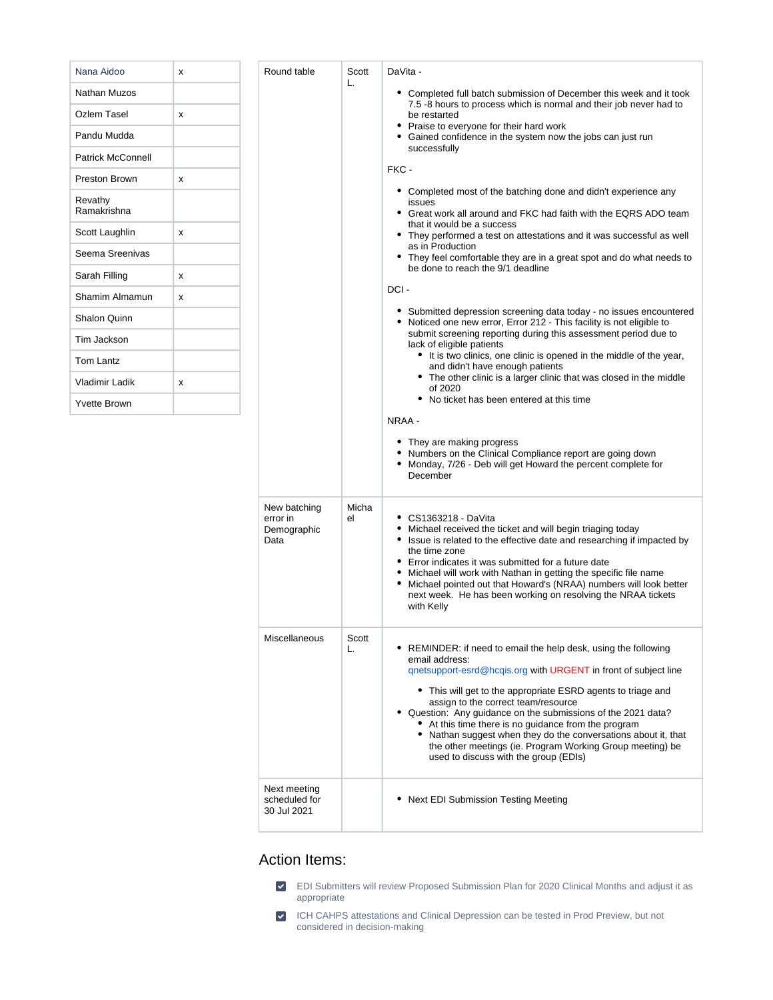| Nana Aidoo               | x | Round table                                     | Scott<br>L. | DaVita -                                                                                                                                                                                                                                                                                                                                                                                                                                                                                                                                                                                                                                      |  |  |  |  |
|--------------------------|---|-------------------------------------------------|-------------|-----------------------------------------------------------------------------------------------------------------------------------------------------------------------------------------------------------------------------------------------------------------------------------------------------------------------------------------------------------------------------------------------------------------------------------------------------------------------------------------------------------------------------------------------------------------------------------------------------------------------------------------------|--|--|--|--|
| Nathan Muzos             |   |                                                 |             | • Completed full batch submission of December this week and it took                                                                                                                                                                                                                                                                                                                                                                                                                                                                                                                                                                           |  |  |  |  |
| <b>Ozlem Tasel</b>       | x |                                                 |             | 7.5 -8 hours to process which is normal and their job never had to<br>be restarted<br>• Praise to everyone for their hard work                                                                                                                                                                                                                                                                                                                                                                                                                                                                                                                |  |  |  |  |
| Pandu Mudda              |   |                                                 |             | • Gained confidence in the system now the jobs can just run<br>successfully                                                                                                                                                                                                                                                                                                                                                                                                                                                                                                                                                                   |  |  |  |  |
| <b>Patrick McConnell</b> |   |                                                 |             |                                                                                                                                                                                                                                                                                                                                                                                                                                                                                                                                                                                                                                               |  |  |  |  |
| Preston Brown            | x |                                                 |             | FKC -                                                                                                                                                                                                                                                                                                                                                                                                                                                                                                                                                                                                                                         |  |  |  |  |
| Revathy<br>Ramakrishna   |   |                                                 |             | • Completed most of the batching done and didn't experience any<br>issues<br>• Great work all around and FKC had faith with the EQRS ADO team                                                                                                                                                                                                                                                                                                                                                                                                                                                                                                 |  |  |  |  |
| Scott Laughlin           | x |                                                 |             | that it would be a success<br>• They performed a test on attestations and it was successful as well                                                                                                                                                                                                                                                                                                                                                                                                                                                                                                                                           |  |  |  |  |
| Seema Sreenivas          |   |                                                 |             | as in Production<br>• They feel comfortable they are in a great spot and do what needs to                                                                                                                                                                                                                                                                                                                                                                                                                                                                                                                                                     |  |  |  |  |
| Sarah Filling            | x |                                                 |             | be done to reach the 9/1 deadline                                                                                                                                                                                                                                                                                                                                                                                                                                                                                                                                                                                                             |  |  |  |  |
| Shamim Almamun           | x |                                                 |             | DCI-                                                                                                                                                                                                                                                                                                                                                                                                                                                                                                                                                                                                                                          |  |  |  |  |
| Shalon Quinn             |   |                                                 |             | • Submitted depression screening data today - no issues encountered<br>• Noticed one new error, Error 212 - This facility is not eligible to                                                                                                                                                                                                                                                                                                                                                                                                                                                                                                  |  |  |  |  |
| Tim Jackson              |   |                                                 |             | submit screening reporting during this assessment period due to<br>lack of eligible patients                                                                                                                                                                                                                                                                                                                                                                                                                                                                                                                                                  |  |  |  |  |
| Tom Lantz                |   |                                                 |             | • It is two clinics, one clinic is opened in the middle of the year,<br>and didn't have enough patients                                                                                                                                                                                                                                                                                                                                                                                                                                                                                                                                       |  |  |  |  |
| Vladimir Ladik           | x |                                                 |             | • The other clinic is a larger clinic that was closed in the middle<br>of 2020                                                                                                                                                                                                                                                                                                                                                                                                                                                                                                                                                                |  |  |  |  |
| <b>Yvette Brown</b>      |   |                                                 |             | • No ticket has been entered at this time                                                                                                                                                                                                                                                                                                                                                                                                                                                                                                                                                                                                     |  |  |  |  |
|                          |   | New batching<br>error in<br>Demographic<br>Data | Micha<br>el | • They are making progress<br>• Numbers on the Clinical Compliance report are going down<br>• Monday, 7/26 - Deb will get Howard the percent complete for<br>December<br>• CS1363218 - DaVita<br>• Michael received the ticket and will begin triaging today<br>• Issue is related to the effective date and researching if impacted by<br>the time zone<br>• Error indicates it was submitted for a future date<br>• Michael will work with Nathan in getting the specific file name<br>Michael pointed out that Howard's (NRAA) numbers will look better<br>٠<br>next week. He has been working on resolving the NRAA tickets<br>with Kelly |  |  |  |  |
|                          |   | Miscellaneous                                   | Scott<br>L. | • REMINDER: if need to email the help desk, using the following<br>email address:<br>gnetsupport-esrd@hcqis.org with URGENT in front of subject line<br>• This will get to the appropriate ESRD agents to triage and<br>assign to the correct team/resource<br>• Question: Any guidance on the submissions of the 2021 data?<br>• At this time there is no guidance from the program<br>• Nathan suggest when they do the conversations about it, that<br>the other meetings (ie. Program Working Group meeting) be<br>used to discuss with the group (EDIs)                                                                                  |  |  |  |  |
|                          |   | Next meeting<br>scheduled for<br>30 Jul 2021    |             | • Next EDI Submission Testing Meeting                                                                                                                                                                                                                                                                                                                                                                                                                                                                                                                                                                                                         |  |  |  |  |

## Action Items:



ICH CAHPS attestations and Clinical Depression can be tested in Prod Preview, but not considered in decision-making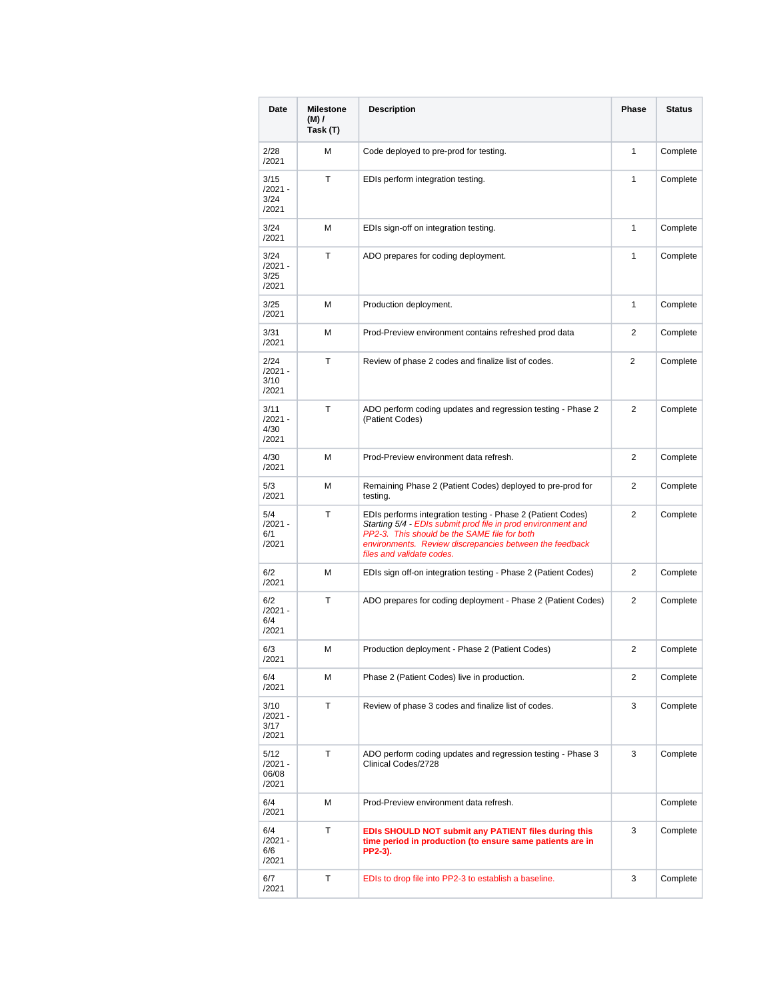| Date                              | <b>Milestone</b><br>$(M)$ /<br>Task (T) | <b>Description</b>                                                                                                                                                                                                                                                  |                | <b>Status</b> |
|-----------------------------------|-----------------------------------------|---------------------------------------------------------------------------------------------------------------------------------------------------------------------------------------------------------------------------------------------------------------------|----------------|---------------|
| 2/28<br>/2021                     | М                                       | Code deployed to pre-prod for testing.                                                                                                                                                                                                                              | $\mathbf{1}$   | Complete      |
| 3/15<br>/2021 -<br>3/24<br>/2021  | т                                       | EDIs perform integration testing.                                                                                                                                                                                                                                   |                | Complete      |
| 3/24<br>/2021                     | М                                       | EDIs sign-off on integration testing.                                                                                                                                                                                                                               | $\mathbf{1}$   | Complete      |
| 3/24<br>/2021 -<br>3/25<br>/2021  | т                                       | ADO prepares for coding deployment.                                                                                                                                                                                                                                 | $\mathbf{1}$   | Complete      |
| 3/25<br>/2021                     | М                                       | Production deployment.                                                                                                                                                                                                                                              | 1              | Complete      |
| 3/31<br>/2021                     | М                                       | Prod-Preview environment contains refreshed prod data                                                                                                                                                                                                               | $\overline{2}$ | Complete      |
| 2/24<br>/2021 -<br>3/10<br>/2021  | т                                       | Review of phase 2 codes and finalize list of codes.                                                                                                                                                                                                                 | $\overline{2}$ | Complete      |
| 3/11<br>/2021 -<br>4/30<br>/2021  | т                                       | ADO perform coding updates and regression testing - Phase 2<br>(Patient Codes)                                                                                                                                                                                      | 2              | Complete      |
| 4/30<br>/2021                     | М                                       | Prod-Preview environment data refresh.                                                                                                                                                                                                                              | $\overline{2}$ | Complete      |
| 5/3<br>/2021                      | М                                       | Remaining Phase 2 (Patient Codes) deployed to pre-prod for<br>testing.                                                                                                                                                                                              | $\overline{2}$ | Complete      |
| 5/4<br>/2021 -<br>6/1<br>/2021    | т                                       | EDIs performs integration testing - Phase 2 (Patient Codes)<br>Starting 5/4 - EDIs submit prod file in prod environment and<br>PP2-3. This should be the SAME file for both<br>environments. Review discrepancies between the feedback<br>files and validate codes. | $\overline{2}$ | Complete      |
| 6/2<br>/2021                      | М                                       | EDIs sign off-on integration testing - Phase 2 (Patient Codes)                                                                                                                                                                                                      |                | Complete      |
| 6/2<br>/2021 -<br>6/4<br>/2021    | т                                       | ADO prepares for coding deployment - Phase 2 (Patient Codes)                                                                                                                                                                                                        |                | Complete      |
| 6/3<br>/2021                      | М                                       | Production deployment - Phase 2 (Patient Codes)                                                                                                                                                                                                                     |                | Complete      |
| 6/4<br>/2021                      | м                                       | Phase 2 (Patient Codes) live in production.                                                                                                                                                                                                                         | 2              | Complete      |
| 3/10<br>/2021 -<br>3/17<br>/2021  | т                                       | Review of phase 3 codes and finalize list of codes.                                                                                                                                                                                                                 |                | Complete      |
| 5/12<br>/2021 -<br>06/08<br>/2021 | т                                       | ADO perform coding updates and regression testing - Phase 3<br>Clinical Codes/2728                                                                                                                                                                                  |                | Complete      |
| 6/4<br>/2021                      | М                                       | Prod-Preview environment data refresh.                                                                                                                                                                                                                              |                | Complete      |
| 6/4<br>/2021 -<br>6/6<br>/2021    | т                                       | EDIs SHOULD NOT submit any PATIENT files during this<br>time period in production (to ensure same patients are in<br>PP2-3).                                                                                                                                        |                | Complete      |
| 6/7<br>/2021                      | т                                       | EDIs to drop file into PP2-3 to establish a baseline.                                                                                                                                                                                                               | 3              | Complete      |